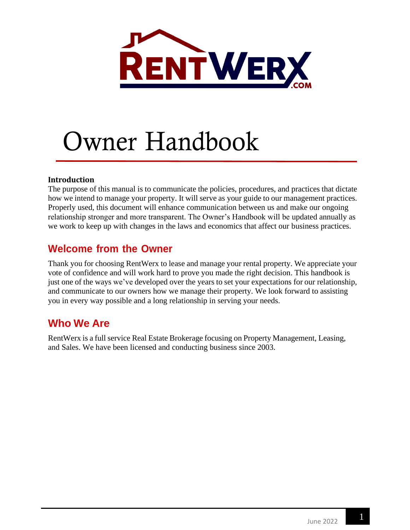

# Owner Handbook

#### **Introduction**

The purpose of this manual is to communicate the policies, procedures, and practices that dictate how we intend to manage your property. It will serve as your guide to our management practices. Properly used, this document will enhance communication between us and make our ongoing relationship stronger and more transparent. The Owner's Handbook will be updated annually as we work to keep up with changes in the laws and economics that affect our business practices.

### **Welcome from the Owner**

Thank you for choosing RentWerx to lease and manage your rental property. We appreciate your vote of confidence and will work hard to prove you made the right decision. This handbook is just one of the ways we've developed over the years to set your expectations for our relationship, and communicate to our owners how we manage their property. We look forward to assisting you in every way possible and a long relationship in serving your needs.

### **Who We Are**

RentWerx is a full service Real Estate Brokerage focusing on Property Management, Leasing, and Sales. We have been licensed and conducting business since 2003.

1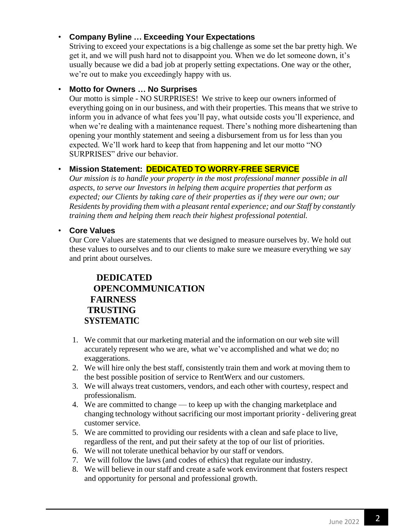#### • **Company Byline … Exceeding Your Expectations**

Striving to exceed your expectations is a big challenge as some set the bar pretty high. We get it, and we will push hard not to disappoint you. When we do let someone down, it's usually because we did a bad job at properly setting expectations. One way or the other, we're out to make you exceedingly happy with us.

#### • **Motto for Owners … No Surprises**

Our motto is simple - NO SURPRISES! We strive to keep our owners informed of everything going on in our business, and with their properties. This means that we strive to inform you in advance of what fees you'll pay, what outside costs you'll experience, and when we're dealing with a maintenance request. There's nothing more disheartening than opening your monthly statement and seeing a disbursement from us for less than you expected. We'll work hard to keep that from happening and let our motto "NO SURPRISES" drive our behavior.

#### • **Mission Statement: DEDICATED TO WORRY-FREE SERVICE**

*Our mission is to handle your property in the most professional manner possible in all aspects, to serve our Investors in helping them acquire properties that perform as expected; our Clients by taking care of their properties as if they were our own; our Residents by providing them with a pleasant rental experience; and our Staff by constantly training them and helping them reach their highest professional potential.*

• **Core Values**

Our Core Values are statements that we designed to measure ourselves by. We hold out these values to ourselves and to our clients to make sure we measure everything we say and print about ourselves.

#### **DEDICATED OPENCOMMUNICATION FAIRNESS TRUSTING SYSTEMATIC**

- 1. We commit that our marketing material and the information on our web site will accurately represent who we are, what we've accomplished and what we do; no exaggerations.
- 2. We will hire only the best staff, consistently train them and work at moving them to the best possible position of service to RentWerx and our customers.
- 3. We will always treat customers, vendors, and each other with courtesy, respect and professionalism.
- 4. We are committed to change to keep up with the changing marketplace and changing technology without sacrificing our most important priority - delivering great customer service.
- 5. We are committed to providing our residents with a clean and safe place to live, regardless of the rent, and put their safety at the top of our list of priorities.
- 6. We will not tolerate unethical behavior by our staff or vendors.
- 7. We will follow the laws (and codes of ethics) that regulate our industry.
- 8. We will believe in our staff and create a safe work environment that fosters respect and opportunity for personal and professional growth.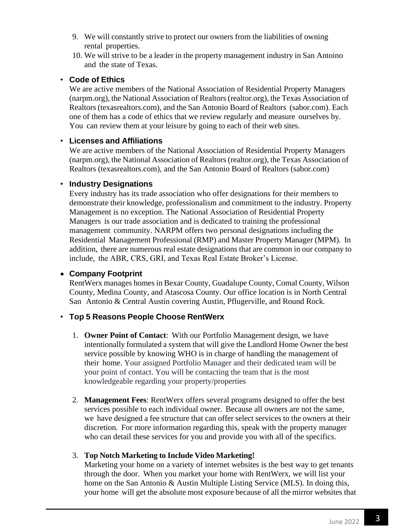- 9. We will constantly strive to protect our owners from the liabilities of owning rental properties.
- 10. We will strive to be a leader in the property management industry in San Antoino and the state of Texas.

#### • **Code of Ethics**

We are active members of the National Association of Residential Property Managers (narpm.org), the National Association of Realtors(realtor.org), the Texas Association of Realtors (texasrealtors.com), and the San Antonio Board of Realtors (sabor.com). Each one of them has a code of ethics that we review regularly and measure ourselves by. You can review them at your leisure by going to each of their web sites.

#### • **Licenses and Affiliations**

We are active members of the National Association of Residential Property Managers (narpm.org), the National Association of Realtors(realtor.org), the Texas Association of Realtors (texasrealtors.com), and the San Antonio Board of Realtors (sabor.com)

#### • **Industry Designations**

Every industry has its trade association who offer designations for their members to demonstrate their knowledge, professionalism and commitment to the industry. Property Management is no exception. The National Association of Residential Property Managers is our trade association and is dedicated to training the professional management community. NARPM offers two personal designations including the Residential Management Professional (RMP) and Master Property Manager (MPM). In addition, there are numerous real estate designations that are common in our company to include, the ABR, CRS, GRI, and Texas Real Estate Broker's License.

#### • **Company Footprint**

RentWerx manages homes in Bexar County, Guadalupe County, Comal County, Wilson County, Medina County, and Atascosa County. Our office location is in North Central San Antonio & Central Austin covering Austin, Pflugerville, and Round Rock.

#### • **Top 5 Reasons People Choose RentWerx**

- 1. **Owner Point of Contact**: With our Portfolio Management design, we have intentionally formulated a system that will give the Landlord Home Owner the best service possible by knowing WHO is in charge of handling the management of their home. Your assigned Portfolio Manager and their dedicated team will be your point of contact. You will be contacting the team that is the most knowledgeable regarding your property/properties
- 2. **Management Fees**: RentWerx offers several programs designed to offer the best services possible to each individual owner. Because all owners are not the same, we have designed a fee structure that can offer select services to the owners at their discretion. For more information regarding this, speak with the property manager who can detail these services for you and provide you with all of the specifics.

#### 3. **Top Notch Marketing to Include Video Marketing!**

Marketing your home on a variety of internet websites is the best way to get tenants through the door. When you market your home with RentWerx*,* we will list your home on the San Antonio & Austin Multiple Listing Service (MLS). In doing this, your home will get the absolute most exposure because of all the mirror websites that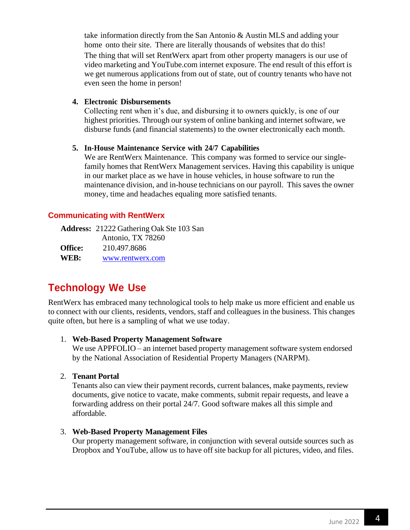take information directly from the San Antonio & Austin MLS and adding your home onto their site. There are literally thousands of websites that do this! The thing that will set RentWerx apart from other property managers is our use of video marketing and YouTube.com internet exposure. The end result of this effort is we get numerous applications from out of state, out of country tenants who have not even seen the home in person!

#### **4. Electronic Disbursements**

Collecting rent when it's due, and disbursing it to owners quickly, is one of our highest priorities. Through our system of online banking and internet software, we disburse funds (and financial statements) to the owner electronically each month.

#### **5. In-House Maintenance Service with 24/7 Capabilities**

We are RentWerx Maintenance. This company was formed to service our singlefamily homes that RentWerx Management services. Having this capability is unique in our market place as we have in house vehicles, in house software to run the maintenance division, and in-house technicians on our payroll. This saves the owner money, time and headaches equaling more satisfied tenants.

#### **Communicating with RentWerx**

**Address:** 21222 Gathering Oak Ste 103 San Antonio, TX 78260 **Office:** 210.497.8686 **WEB:** [www.rentwerx.com](http://www.rentwerx.com/)

### **Technology We Use**

RentWerx has embraced many technological tools to help make us more efficient and enable us to connect with our clients, residents, vendors, staff and colleagues in the business. This changes quite often, but here is a sampling of what we use today.

#### 1. **Web-Based Property Management Software**

We use APPFOLIO – an internet based property management software system endorsed by the National Association of Residential Property Managers (NARPM).

#### 2. **Tenant Portal**

Tenants also can view their payment records, current balances, make payments, review documents, give notice to vacate, make comments, submit repair requests, and leave a forwarding address on their portal 24/7. Good software makes all this simple and affordable.

#### 3. **Web-Based Property Management Files**

Our property management software, in conjunction with several outside sources such as Dropbox and YouTube, allow us to have off site backup for all pictures, video, and files.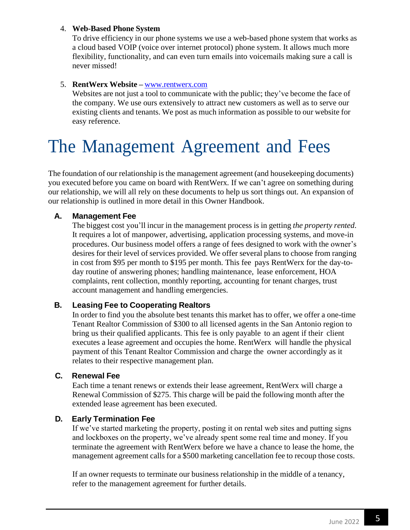#### 4. **Web-Based Phone System**

To drive efficiency in our phone systems we use a web-based phone system that works as a cloud based VOIP (voice over internet protocol) phone system. It allows much more flexibility, functionality, and can even turn emails into voicemails making sure a call is never missed!

#### 5. **RentWerx Website –** [www.rentwerx.com](http://www.rentwerx.com/)

Websites are not just a tool to communicate with the public; they've become the face of the company. We use ours extensively to attract new customers as well as to serve our existing clients and tenants. We post as much information as possible to our website for easy reference.

### The Management Agreement and Fees

The foundation of our relationship is the management agreement (and housekeeping documents) you executed before you came on board with RentWerx*.* If we can't agree on something during our relationship, we will all rely on these documents to help us sort things out. An expansion of our relationship is outlined in more detail in this Owner Handbook.

#### **A. Management Fee**

The biggest cost you'll incur in the management process is in getting *the property rented*. It requires a lot of manpower, advertising, application processing systems, and move-in procedures. Our business model offers a range of fees designed to work with the owner's desires for their level of services provided. We offer several plans to choose from ranging in cost from \$95 per month to \$195 per month. This fee pays RentWerx for the day-today routine of answering phones; handling maintenance, lease enforcement, HOA complaints, rent collection, monthly reporting, accounting for tenant charges, trust account management and handling emergencies.

#### **B. Leasing Fee to Cooperating Realtors**

In order to find you the absolute best tenants this market has to offer, we offer a one-time Tenant Realtor Commission of \$300 to all licensed agents in the San Antonio region to bring us their qualified applicants. This fee is only payable to an agent if their client executes a lease agreement and occupies the home. RentWerx will handle the physical payment of this Tenant Realtor Commission and charge the owner accordingly as it relates to their respective management plan.

#### **C. Renewal Fee**

Each time a tenant renews or extends their lease agreement, RentWerx will charge a Renewal Commission of \$275. This charge will be paid the following month after the extended lease agreement has been executed.

#### **D. Early Termination Fee**

If we've started marketing the property, posting it on rental web sites and putting signs and lockboxes on the property, we've already spent some real time and money. If you terminate the agreement with RentWerx before we have a chance to lease the home, the management agreement calls for a \$500 marketing cancellation fee to recoup those costs.

If an owner requests to terminate our business relationship in the middle of a tenancy, refer to the management agreement for further details.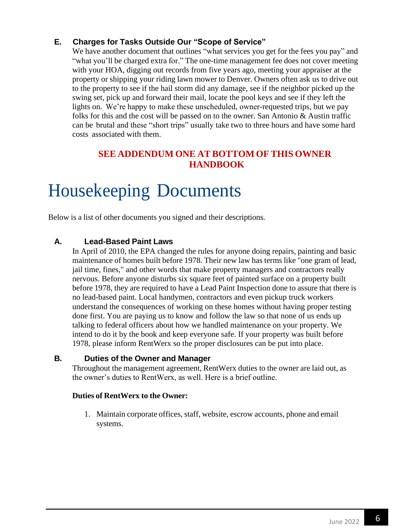#### **E. Charges for Tasks Outside Our "Scope of Service"**

We have another document that outlines "what services you get for the fees you pay" and "what you'll be charged extra for." The one-time management fee does not cover meeting with your HOA, digging out records from five years ago, meeting your appraiser at the property or shipping your riding lawn mower to Denver. Owners often ask us to drive out to the property to see if the hail storm did any damage, see if the neighbor picked up the swing set, pick up and forward their mail, locate the pool keys and see if they left the lights on. We're happy to make these unscheduled, owner-requested trips, but we pay folks for this and the cost will be passed on to the owner. San Antonio & Austin traffic can be brutal and these "short trips" usually take two to three hours and have some hard costs associated with them.

#### **SEE ADDENDUM ONE AT BOTTOM OF THIS OWNER HANDBOOK**

### Housekeeping Documents

Below is a list of other documents you signed and their descriptions.

#### **A. Lead-Based Paint Laws**

In April of 2010, the EPA changed the rules for anyone doing repairs, painting and basic maintenance of homes built before 1978. Their new law has terms like "one gram of lead, jail time, fines," and other words that make property managers and contractors really nervous. Before anyone disturbs six square feet of painted surface on a property built before 1978, they are required to have a Lead Paint Inspection done to assure that there is no lead-based paint. Local handymen, contractors and even pickup truck workers understand the consequences of working on these homes without having proper testing done first. You are paying us to know and follow the law so that none of us ends up talking to federal officers about how we handled maintenance on your property. We intend to do it by the book and keep everyone safe. If your property was built before 1978, please inform RentWerx so the proper disclosures can be put into place.

#### **B. Duties of the Owner and Manager**

Throughout the management agreement, RentWerx duties to the owner are laid out, as the owner's duties to RentWerx, as well. Here is a brief outline.

#### **Duties of RentWerx to the Owner:**

1. Maintain corporate offices, staff, website, escrow accounts, phone and email systems.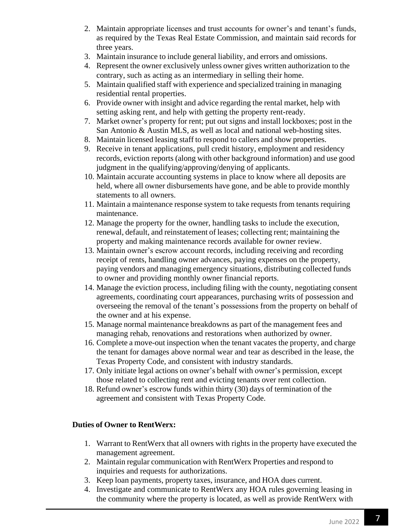- 2. Maintain appropriate licenses and trust accounts for owner's and tenant's funds, as required by the Texas Real Estate Commission, and maintain said records for three years.
- 3. Maintain insurance to include general liability, and errors and omissions.
- 4. Represent the owner exclusively unless owner gives written authorization to the contrary, such as acting as an intermediary in selling their home.
- 5. Maintain qualified staff with experience and specialized training in managing residential rental properties.
- 6. Provide owner with insight and advice regarding the rental market, help with setting asking rent, and help with getting the property rent-ready.
- 7. Market owner's property for rent; put out signs and install lockboxes; post in the San Antonio & Austin MLS, as well as local and national web-hosting sites.
- 8. Maintain licensed leasing staff to respond to callers and show properties.
- 9. Receive in tenant applications, pull credit history, employment and residency records, eviction reports (along with other background information) and use good judgment in the qualifying/approving/denying of applicants.
- 10. Maintain accurate accounting systems in place to know where all deposits are held, where all owner disbursements have gone, and be able to provide monthly statements to all owners.
- 11. Maintain a maintenance response system to take requests from tenants requiring maintenance.
- 12. Manage the property for the owner, handling tasks to include the execution, renewal, default, and reinstatement of leases; collecting rent; maintaining the property and making maintenance records available for owner review.
- 13. Maintain owner's escrow account records, including receiving and recording receipt of rents, handling owner advances, paying expenses on the property, paying vendors and managing emergency situations, distributing collected funds to owner and providing monthly owner financial reports.
- 14. Manage the eviction process, including filing with the county, negotiating consent agreements, coordinating court appearances, purchasing writs of possession and overseeing the removal of the tenant's possessions from the property on behalf of the owner and at his expense.
- 15. Manage normal maintenance breakdowns as part of the management fees and managing rehab, renovations and restorations when authorized by owner.
- 16. Complete a move-out inspection when the tenant vacates the property, and charge the tenant for damages above normal wear and tear as described in the lease, the Texas Property Code, and consistent with industry standards.
- 17. Only initiate legal actions on owner's behalf with owner's permission, except those related to collecting rent and evicting tenants over rent collection.
- 18. Refund owner's escrow funds within thirty (30) days of termination of the agreement and consistent with Texas Property Code.

#### **Duties of Owner to RentWerx:**

- 1. Warrant to RentWerx that all owners with rights in the property have executed the management agreement.
- 2. Maintain regular communication with RentWerx Properties and respond to inquiries and requests for authorizations.
- 3. Keep loan payments, property taxes, insurance, and HOA dues current.
- 4. Investigate and communicate to RentWerx any HOA rules governing leasing in the community where the property is located, as well as provide RentWerx with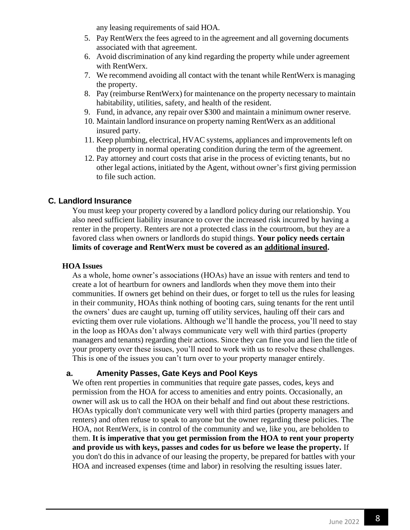any leasing requirements of said HOA.

- 5. Pay RentWerx the fees agreed to in the agreement and all governing documents associated with that agreement.
- 6. Avoid discrimination of any kind regarding the property while under agreement with RentWerx.
- 7. We recommend avoiding all contact with the tenant while RentWerx is managing the property.
- 8. Pay (reimburse RentWerx) for maintenance on the property necessary to maintain habitability, utilities, safety, and health of the resident.
- 9. Fund, in advance, any repair over \$300 and maintain a minimum owner reserve.
- 10. Maintain landlord insurance on property naming RentWerx as an additional insured party.
- 11. Keep plumbing, electrical, HVAC systems, appliances and improvements left on the property in normal operating condition during the term of the agreement.
- 12. Pay attorney and court costs that arise in the process of evicting tenants, but no other legal actions, initiated by the Agent, without owner's first giving permission to file such action.

#### **C. Landlord Insurance**

You must keep your property covered by a landlord policy during our relationship. You also need sufficient liability insurance to cover the increased risk incurred by having a renter in the property. Renters are not a protected class in the courtroom, but they are a favored class when owners or landlords do stupid things. **Your policy needs certain limits of coverage and RentWerx must be covered as an additional insured.**

#### **HOA Issues**

As a whole, home owner's associations (HOAs) have an issue with renters and tend to create a lot of heartburn for owners and landlords when they move them into their communities. If owners get behind on their dues, or forget to tell us the rules for leasing in their community, HOAs think nothing of booting cars, suing tenants for the rent until the owners' dues are caught up, turning off utility services, hauling off their cars and evicting them over rule violations. Although we'll handle the process, you'll need to stay in the loop as HOAs don't always communicate very well with third parties (property managers and tenants) regarding their actions. Since they can fine you and lien the title of your property over these issues, you'll need to work with us to resolve these challenges. This is one of the issues you can't turn over to your property manager entirely.

#### **a. Amenity Passes, Gate Keys and Pool Keys**

We often rent properties in communities that require gate passes, codes, keys and permission from the HOA for access to amenities and entry points. Occasionally, an owner will ask us to call the HOA on their behalf and find out about these restrictions. HOAs typically don't communicate very well with third parties (property managers and renters) and often refuse to speak to anyone but the owner regarding these policies. The HOA, not RentWerx, is in control of the community and we, like you, are beholden to them. **It is imperative that you get permission from the HOA to rent your property and provide us with keys, passes and codes for us before we lease the property.** If you don't do this in advance of our leasing the property, be prepared for battles with your HOA and increased expenses (time and labor) in resolving the resulting issues later.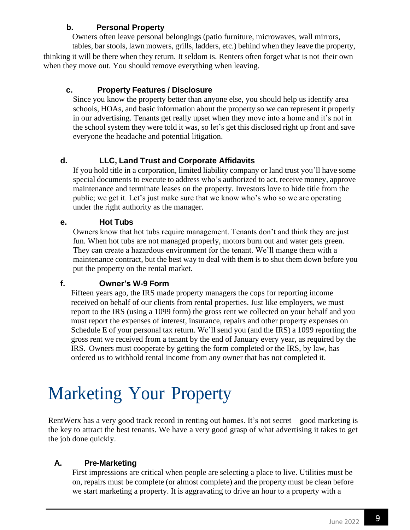#### **b. Personal Property**

Owners often leave personal belongings (patio furniture, microwaves, wall mirrors, tables, bar stools, lawn mowers, grills, ladders, etc.) behind when they leave the property, thinking it will be there when they return. It seldom is. Renters often forget what is not their own when they move out. You should remove everything when leaving.

#### **c. Property Features / Disclosure**

Since you know the property better than anyone else, you should help us identify area schools, HOAs, and basic information about the property so we can represent it properly in our advertising. Tenants get really upset when they move into a home and it's not in the school system they were told it was, so let's get this disclosed right up front and save everyone the headache and potential litigation.

#### **d. LLC, Land Trust and Corporate Affidavits**

If you hold title in a corporation, limited liability company or land trust you'll have some special documents to execute to address who's authorized to act, receive money, approve maintenance and terminate leases on the property. Investors love to hide title from the public; we get it. Let's just make sure that we know who's who so we are operating under the right authority as the manager.

#### **e. Hot Tubs**

Owners know that hot tubs require management. Tenants don't and think they are just fun. When hot tubs are not managed properly, motors burn out and water gets green. They can create a hazardous environment for the tenant. We'll mange them with a maintenance contract, but the best way to deal with them is to shut them down before you put the property on the rental market.

#### **f. Owner's W-9 Form**

Fifteen years ago, the IRS made property managers the cops for reporting income received on behalf of our clients from rental properties. Just like employers, we must report to the IRS (using a 1099 form) the gross rent we collected on your behalf and you must report the expenses of interest, insurance, repairs and other property expenses on Schedule E of your personal tax return. We'll send you (and the IRS) a 1099 reporting the gross rent we received from a tenant by the end of January every year, as required by the IRS. Owners must cooperate by getting the form completed or the IRS, by law, has ordered us to withhold rental income from any owner that has not completed it.

# Marketing Your Property

RentWerx has a very good track record in renting out homes. It's not secret – good marketing is the key to attract the best tenants. We have a very good grasp of what advertising it takes to get the job done quickly.

#### **A. Pre-Marketing**

First impressions are critical when people are selecting a place to live. Utilities must be on, repairs must be complete (or almost complete) and the property must be clean before we start marketing a property. It is aggravating to drive an hour to a property with a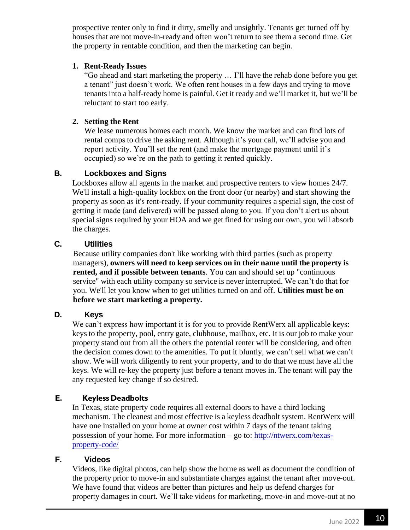prospective renter only to find it dirty, smelly and unsightly. Tenants get turned off by houses that are not move-in-ready and often won't return to see them a second time. Get the property in rentable condition, and then the marketing can begin.

#### **1. Rent-Ready Issues**

"Go ahead and start marketing the property … I'll have the rehab done before you get a tenant" just doesn't work. We often rent houses in a few days and trying to move tenants into a half-ready home is painful. Get it ready and we'll market it, but we'll be reluctant to start too early.

#### **2. Setting the Rent**

We lease numerous homes each month. We know the market and can find lots of rental comps to drive the asking rent. Although it's your call, we'll advise you and report activity. You'll set the rent (and make the mortgage payment until it's occupied) so we're on the path to getting it rented quickly.

#### **B. Lockboxes and Signs**

Lockboxes allow all agents in the market and prospective renters to view homes 24/7. We'll install a high-quality lockbox on the front door (or nearby) and start showing the property as soon as it's rent-ready. If your community requires a special sign, the cost of getting it made (and delivered) will be passed along to you. If you don't alert us about special signs required by your HOA and we get fined for using our own, you will absorb the charges.

#### **C. Utilities**

Because utility companies don't like working with third parties (such as property managers), **owners will need to keep services on in their name until the property is rented, and if possible between tenants**. You can and should set up "continuous service" with each utility company so service is never interrupted. We can't do that for you. We'll let you know when to get utilities turned on and off. **Utilities must be on before we start marketing a property.**

#### **D. Keys**

We can't express how important it is for you to provide RentWerx all applicable keys: keys to the property, pool, entry gate, clubhouse, mailbox, etc. It is our job to make your property stand out from all the others the potential renter will be considering, and often the decision comes down to the amenities. To put it bluntly, we can't sell what we can't show. We will work diligently to rent your property, and to do that we must have all the keys. We will re-key the property just before a tenant moves in. The tenant will pay the any requested key change if so desired.

#### **E. Keyless Deadbolts**

In Texas, state property code requires all external doors to have a third locking mechanism. The cleanest and most effective is a keyless deadbolt system. RentWerx will have one installed on your home at owner cost within 7 days of the tenant taking possession of your home. For more information – go to: [http://ntwerx.com/texas](http://ntwerx.com/texas-property-code/)[property-code/](http://ntwerx.com/texas-property-code/)

#### **F. Videos**

Videos, like digital photos, can help show the home as well as document the condition of the property prior to move-in and substantiate charges against the tenant after move-out. We have found that videos are better than pictures and help us defend charges for property damages in court. We'll take videos for marketing, move-in and move-out at no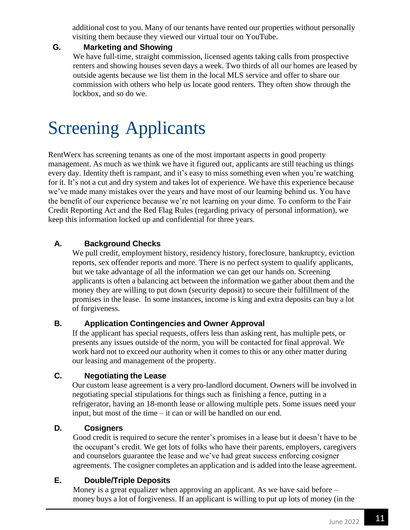additional cost to you. Many of our tenants have rented our properties without personally visiting them because they viewed our virtual tour on YouTube.

#### **G. Marketing and Showing**

We have full-time, straight commission, licensed agents taking calls from prospective renters and showing houses seven days a week. Two thirds of all our homes are leased by outside agents because we list them in the local MLS service and offer to share our commission with others who help us locate good renters. They often show through the lockbox, and so do we.

# Screening Applicants

RentWerx has screening tenants as one of the most important aspects in good property management. As much as we think we have it figured out, applicants are still teaching us things every day. Identity theft is rampant, and it's easy to miss something even when you're watching for it. It's not a cut and dry system and takes lot of experience. We have this experience because we've made many mistakes over the years and have most of our learning behind us. You have the benefit of our experience because we're not learning on your dime. To conform to the Fair Credit Reporting Act and the Red Flag Rules (regarding privacy of personal information), we keep this information locked up and confidential for three years.

#### **A. Background Checks**

We pull credit, employment history, residency history, foreclosure, bankruptcy, eviction reports, sex offender reports and more. There is no perfect system to qualify applicants, but we take advantage of all the information we can get our hands on. Screening applicants is often a balancing act between the information we gather about them and the money they are willing to put down (security deposit) to secure their fulfillment of the promises in the lease. In some instances, income is king and extra deposits can buy a lot of forgiveness.

#### **B. Application Contingencies and Owner Approval**

If the applicant has special requests, offers less than asking rent, has multiple pets, or presents any issues outside of the norm, you will be contacted for final approval. We work hard not to exceed our authority when it comes to this or any other matter during our leasing and management of the property.

#### **C. Negotiating the Lease**

Our custom lease agreement is a very pro-landlord document. Owners will be involved in negotiating special stipulations for things such as finishing a fence, putting in a refrigerator, having an 18-month lease or allowing multiple pets. Some issues need your input, but most of the time – it can or will be handled on our end.

#### **D. Cosigners**

Good credit is required to secure the renter's promises in a lease but it doesn't have to be the occupant's credit. We get lots of folks who have their parents, employers, caregivers and counselors guarantee the lease and we've had great success enforcing cosigner agreements. The cosigner completes an application and is added into the lease agreement.

#### **E. Double/Triple Deposits**

Money is a great equalizer when approving an applicant. As we have said before – money buys a lot of forgiveness. If an applicant is willing to put up lots of money (in the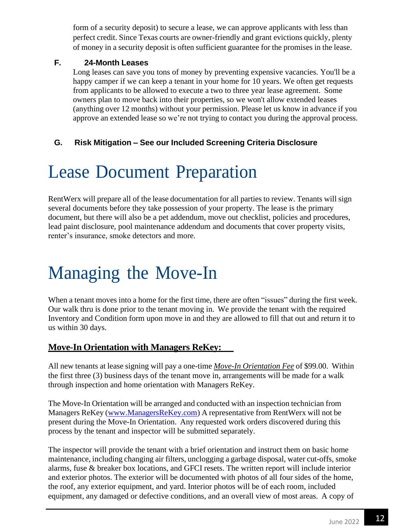form of a security deposit) to secure a lease, we can approve applicants with less than perfect credit. Since Texas courts are owner-friendly and grant evictions quickly, plenty of money in a security deposit is often sufficient guarantee for the promises in the lease.

#### **F. 24-Month Leases**

Long leases can save you tons of money by preventing expensive vacancies. You'll be a happy camper if we can keep a tenant in your home for 10 years. We often get requests from applicants to be allowed to execute a two to three year lease agreement. Some owners plan to move back into their properties, so we won't allow extended leases (anything over 12 months) without your permission. Please let us know in advance if you approve an extended lease so we're not trying to contact you during the approval process.

#### **G. Risk Mitigation – See our Included Screening Criteria Disclosure**

### Lease Document Preparation

RentWerx will prepare all of the lease documentation for all parties to review. Tenants will sign several documents before they take possession of your property. The lease is the primary document, but there will also be a pet addendum, move out checklist, policies and procedures, lead paint disclosure, pool maintenance addendum and documents that cover property visits, renter's insurance, smoke detectors and more.

# Managing the Move-In

When a tenant moves into a home for the first time, there are often "issues" during the first week. Our walk thru is done prior to the tenant moving in. We provide the tenant with the required Inventory and Condition form upon move in and they are allowed to fill that out and return it to us within 30 days.

#### **Move-In Orientation with Managers ReKey:**

All new tenants at lease signing will pay a one-time *Move-In Orientation Fee* of \$99.00. Within the first three (3) business days of the tenant move in, arrangements will be made for a walk through inspection and home orientation with Managers ReKey.

The Move-In Orientation will be arranged and conducted with an inspection technician from Managers ReKey [\(www.ManagersReKey.com\)](http://www.managersrekey.com/) A representative from RentWerx will not be present during the Move-In Orientation. Any requested work orders discovered during this process by the tenant and inspector will be submitted separately.

The inspector will provide the tenant with a brief orientation and instruct them on basic home maintenance, including changing air filters, unclogging a garbage disposal, water cut-offs, smoke alarms, fuse & breaker box locations, and GFCI resets. The written report will include interior and exterior photos. The exterior will be documented with photos of all four sides of the home, the roof, any exterior equipment, and yard. Interior photos will be of each room, included equipment, any damaged or defective conditions, and an overall view of most areas. A copy of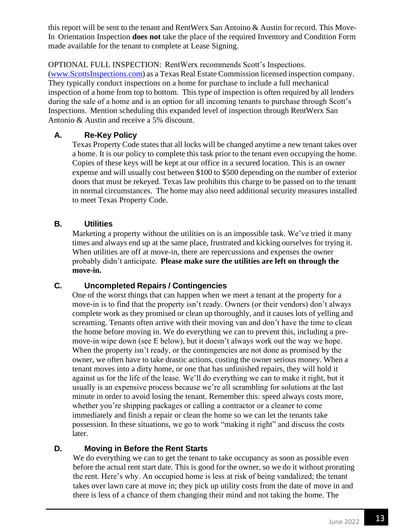this report will be sent to the tenant and RentWerx San Antoino & Austin for record. This Move-In Orientation Inspection **does not** take the place of the required Inventory and Condition Form made available for the tenant to complete at Lease Signing.

OPTIONAL FULL INSPECTION: RentWerx recommends Scott's Inspections.

[\(www.ScottsInspections.com\)](http://www.scottsinspections.com/) as a Texas Real Estate Commission licensed inspection company. They typically conduct inspections on a home for purchase to include a full mechanical inspection of a home from top to bottom. This type of inspection is often required by all lenders during the sale of a home and is an option for all incoming tenants to purchase through Scott's Inspections. Mention scheduling this expanded level of inspection through RentWerx San Antonio & Austin and receive a 5% discount.

#### **A. Re-Key Policy**

Texas Property Code states that all locks will be changed anytime a new tenant takes over a home. It is our policy to complete this task prior to the tenant even occupying the home. Copies of these keys will be kept at our office in a secured location. This is an owner expense and will usually cost between \$100 to \$500 depending on the number of exterior doors that must be rekeyed. Texas law prohibits this charge to be passed on to the tenant in normal circumstances. The home may also need additional security measures installed to meet Texas Property Code.

#### **B. Utilities**

Marketing a property without the utilities on is an impossible task. We've tried it many times and always end up at the same place, frustrated and kicking ourselves for trying it. When utilities are off at move-in, there are repercussions and expenses the owner probably didn't anticipate. **Please make sure the utilities are left on through the move-in.**

#### **C. Uncompleted Repairs / Contingencies**

One of the worst things that can happen when we meet a tenant at the property for a move-in is to find that the property isn't ready. Owners (or their vendors) don't always complete work as they promised or clean up thoroughly, and it causes lots of yelling and screaming. Tenants often arrive with their moving van and don't have the time to clean the home before moving in. We do everything we can to prevent this, including a premove-in wipe down (see E below), but it doesn't always work out the way we hope. When the property isn't ready, or the contingencies are not done as promised by the owner, we often have to take drastic actions, costing the owner serious money. When a tenant moves into a dirty home, or one that has unfinished repairs, they will hold it against us for the life of the lease. We'll do everything we can to make it right, but it usually is an expensive process because we're all scrambling for solutions at the last minute in order to avoid losing the tenant. Remember this: speed always costs more, whether you're shipping packages or calling a contractor or a cleaner to come immediately and finish a repair or clean the home so we can let the tenants take possession. In these situations, we go to work "making it right" and discuss the costs later.

#### **D. Moving in Before the Rent Starts**

We do everything we can to get the tenant to take occupancy as soon as possible even before the actual rent start date. This is good for the owner, so we do it without prorating the rent. Here's why. An occupied home is less at risk of being vandalized; the tenant takes over lawn care at move in; they pick up utility costs from the date of move in and there is less of a chance of them changing their mind and not taking the home. The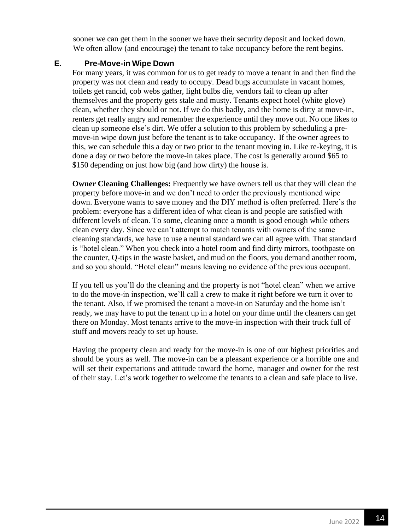sooner we can get them in the sooner we have their security deposit and locked down. We often allow (and encourage) the tenant to take occupancy before the rent begins.

#### **E. Pre-Move-in Wipe Down**

For many years, it was common for us to get ready to move a tenant in and then find the property was not clean and ready to occupy. Dead bugs accumulate in vacant homes, toilets get rancid, cob webs gather, light bulbs die, vendors fail to clean up after themselves and the property gets stale and musty. Tenants expect hotel (white glove) clean, whether they should or not. If we do this badly, and the home is dirty at move-in, renters get really angry and remember the experience until they move out. No one likes to clean up someone else's dirt. We offer a solution to this problem by scheduling a premove-in wipe down just before the tenant is to take occupancy. If the owner agrees to this, we can schedule this a day or two prior to the tenant moving in. Like re-keying, it is done a day or two before the move-in takes place. The cost is generally around \$65 to \$150 depending on just how big (and how dirty) the house is.

**Owner Cleaning Challenges:** Frequently we have owners tell us that they will clean the property before move-in and we don't need to order the previously mentioned wipe down. Everyone wants to save money and the DIY method is often preferred. Here's the problem: everyone has a different idea of what clean is and people are satisfied with different levels of clean. To some, cleaning once a month is good enough while others clean every day. Since we can't attempt to match tenants with owners of the same cleaning standards, we have to use a neutral standard we can all agree with. That standard is "hotel clean." When you check into a hotel room and find dirty mirrors, toothpaste on the counter, Q-tips in the waste basket, and mud on the floors, you demand another room, and so you should. "Hotel clean" means leaving no evidence of the previous occupant.

If you tell us you'll do the cleaning and the property is not "hotel clean" when we arrive to do the move-in inspection, we'll call a crew to make it right before we turn it over to the tenant. Also, if we promised the tenant a move-in on Saturday and the home isn't ready, we may have to put the tenant up in a hotel on your dime until the cleaners can get there on Monday. Most tenants arrive to the move-in inspection with their truck full of stuff and movers ready to set up house.

Having the property clean and ready for the move-in is one of our highest priorities and should be yours as well. The move-in can be a pleasant experience or a horrible one and will set their expectations and attitude toward the home, manager and owner for the rest of their stay. Let's work together to welcome the tenants to a clean and safe place to live.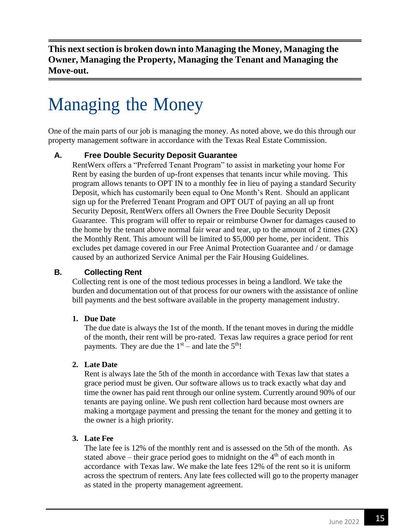**This nextsection is broken down into Managing the Money, Managing the Owner, Managing the Property, Managing the Tenant and Managing the Move-out.**

# Managing the Money

One of the main parts of our job is managing the money. As noted above, we do this through our property management software in accordance with the Texas Real Estate Commission.

#### **A. Free Double Security Deposit Guarantee**

RentWerx offers a "Preferred Tenant Program" to assist in marketing your home For Rent by easing the burden of up-front expenses that tenants incur while moving. This program allows tenants to OPT IN to a monthly fee in lieu of paying a standard Security Deposit, which has customarily been equal to One Month's Rent. Should an applicant sign up for the Preferred Tenant Program and OPT OUT of paying an all up front Security Deposit, RentWerx offers all Owners the Free Double Security Deposit Guarantee. This program will offer to repair or reimburse Owner for damages caused to the home by the tenant above normal fair wear and tear, up to the amount of 2 times  $(2X)$ the Monthly Rent. This amount will be limited to \$5,000 per home, per incident. This excludes pet damage covered in our Free Animal Protection Guarantee and / or damage caused by an authorized Service Animal per the Fair Housing Guidelines.

#### **B. Collecting Rent**

Collecting rent is one of the most tedious processes in being a landlord. We take the burden and documentation out of that process for our owners with the assistance of online bill payments and the best software available in the property management industry.

#### **1. Due Date**

The due date is always the 1st of the month. If the tenant moves in during the middle of the month, their rent will be pro-rated. Texas law requires a grace period for rent payments. They are due the  $1<sup>st</sup>$  – and late the  $5<sup>th</sup>$ !

#### **2. Late Date**

Rent is always late the 5th of the month in accordance with Texas law that states a grace period must be given. Our software allows us to track exactly what day and time the owner has paid rent through our online system. Currently around 90% of our tenants are paying online. We push rent collection hard because most owners are making a mortgage payment and pressing the tenant for the money and getting it to the owner is a high priority.

#### **3. Late Fee**

The late fee is 12% of the monthly rent and is assessed on the 5th of the month. As stated above – their grace period goes to midnight on the  $4<sup>th</sup>$  of each month in accordance with Texas law. We make the late fees 12% of the rent so it is uniform across the spectrum of renters. Any late fees collected will go to the property manager as stated in the property management agreement.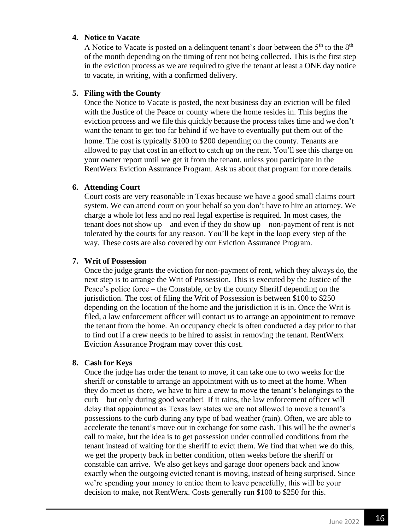#### **4. Notice to Vacate**

A Notice to Vacate is posted on a delinquent tenant's door between the  $5<sup>th</sup>$  to the  $8<sup>th</sup>$ of the month depending on the timing of rent not being collected. This is the first step in the eviction process as we are required to give the tenant at least a ONE day notice to vacate, in writing, with a confirmed delivery.

#### **5. Filing with the County**

Once the Notice to Vacate is posted, the next business day an eviction will be filed with the Justice of the Peace or county where the home resides in. This begins the eviction process and we file this quickly because the process takes time and we don't want the tenant to get too far behind if we have to eventually put them out of the home. The cost is typically \$100 to \$200 depending on the county. Tenants are allowed to pay that cost in an effort to catch up on the rent. You'll see this charge on your owner report until we get it from the tenant, unless you participate in the RentWerx Eviction Assurance Program. Ask us about that program for more details.

#### **6. Attending Court**

Court costs are very reasonable in Texas because we have a good small claims court system. We can attend court on your behalf so you don't have to hire an attorney. We charge a whole lot less and no real legal expertise is required. In most cases, the tenant does not show up – and even if they do show up – non-payment of rent is not tolerated by the courts for any reason. You'll be kept in the loop every step of the way. These costs are also covered by our Eviction Assurance Program.

#### **7. Writ of Possession**

Once the judge grants the eviction for non-payment of rent, which they always do, the next step is to arrange the Writ of Possession. This is executed by the Justice of the Peace's police force – the Constable, or by the county Sheriff depending on the jurisdiction. The cost of filing the Writ of Possession is between \$100 to \$250 depending on the location of the home and the jurisdiction it is in. Once the Writ is filed, a law enforcement officer will contact us to arrange an appointment to remove the tenant from the home. An occupancy check is often conducted a day prior to that to find out if a crew needs to be hired to assist in removing the tenant. RentWerx Eviction Assurance Program may cover this cost.

#### **8. Cash for Keys**

Once the judge has order the tenant to move, it can take one to two weeks for the sheriff or constable to arrange an appointment with us to meet at the home. When they do meet us there, we have to hire a crew to move the tenant's belongings to the curb – but only during good weather! If it rains, the law enforcement officer will delay that appointment as Texas law states we are not allowed to move a tenant's possessions to the curb during any type of bad weather (rain). Often, we are able to accelerate the tenant's move out in exchange for some cash. This will be the owner's call to make, but the idea is to get possession under controlled conditions from the tenant instead of waiting for the sheriff to evict them. We find that when we do this, we get the property back in better condition, often weeks before the sheriff or constable can arrive. We also get keys and garage door openers back and know exactly when the outgoing evicted tenant is moving, instead of being surprised. Since we're spending your money to entice them to leave peacefully, this will be your decision to make, not RentWerx. Costs generally run \$100 to \$250 for this.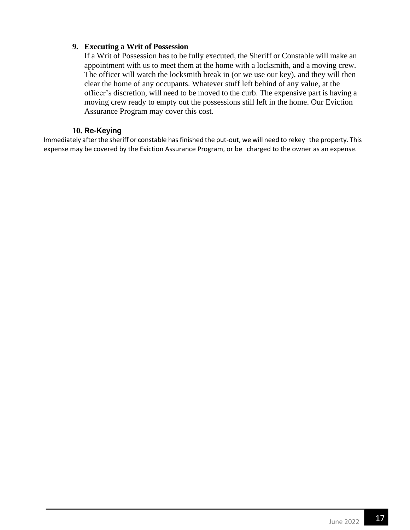#### **9. Executing a Writ of Possession**

If a Writ of Possession has to be fully executed, the Sheriff or Constable will make an appointment with us to meet them at the home with a locksmith, and a moving crew. The officer will watch the locksmith break in (or we use our key), and they will then clear the home of any occupants. Whatever stuff left behind of any value, at the officer's discretion, will need to be moved to the curb. The expensive part is having a moving crew ready to empty out the possessions still left in the home. Our Eviction Assurance Program may cover this cost.

#### **10. Re-Keying**

Immediately after the sheriff or constable has finished the put-out, we will need to rekey the property. This expense may be covered by the Eviction Assurance Program, or be charged to the owner as an expense.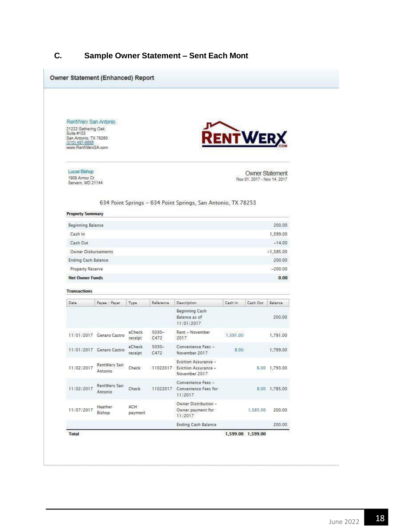### **C. Sample Owner Statement – Sent Each Mont**

| RentWerx San Antonio<br>21222 Gathering Oak<br>Suite #103     |                          |                   |                  |                                                                        |          |                                                       |                    |  |
|---------------------------------------------------------------|--------------------------|-------------------|------------------|------------------------------------------------------------------------|----------|-------------------------------------------------------|--------------------|--|
| San Antonio, TX 78260<br>(210) 497-8686<br>www.RentWerxSA.com |                          |                   |                  |                                                                        | RENTWERX |                                                       |                    |  |
| Lucas Bishop<br>1909 Armor Ct<br>Servern, MD 21144            |                          |                   |                  |                                                                        |          | <b>Owner Statement</b><br>Nov 01, 2017 - Nov 14, 2017 |                    |  |
|                                                               |                          |                   |                  | 634 Point Springs - 634 Point Springs, San Antonio, TX 78253           |          |                                                       |                    |  |
| <b>Property Summary</b>                                       |                          |                   |                  |                                                                        |          |                                                       |                    |  |
| Beginning Balance<br>Cash In                                  |                          |                   |                  |                                                                        |          |                                                       | 200.00<br>1,599.00 |  |
| Cash Out                                                      |                          |                   |                  |                                                                        |          |                                                       | $-14.00$           |  |
| <b>Owner Disbursements</b>                                    |                          |                   |                  |                                                                        |          | $-1,585.00$                                           |                    |  |
| Ending Cash Balance                                           |                          |                   |                  |                                                                        |          |                                                       | 200.00             |  |
| Property Reserve                                              |                          |                   |                  |                                                                        |          | $-200.00$                                             |                    |  |
| <b>Net Owner Funds</b>                                        |                          |                   |                  |                                                                        |          |                                                       | 0.00               |  |
| <b>Transactions</b>                                           |                          |                   |                  |                                                                        |          |                                                       |                    |  |
| Date                                                          | Payee / Payer            | Type              | Reference        | <b>Description</b>                                                     | Cash In  | Cash Out                                              | Balance            |  |
|                                                               |                          |                   |                  | Beginning Cash<br>Balance as of<br>11/01/2017                          |          |                                                       | 200.00             |  |
|                                                               | 11/01/2017 Genaro Castro | eCheck<br>receipt | $5030 -$<br>C472 | Rent - November<br>2017                                                | 1,591.00 |                                                       | 1,791.00           |  |
|                                                               | 11/01/2017 Genaro Castro | eCheck<br>receipt | $5030 -$<br>C472 | Convenience Fees -<br>November 2017                                    | 8.00     |                                                       | 1,799.00           |  |
| 11/02/2017                                                    | RentWerx San<br>Antonio  | Check             |                  | Eviction Assurance -<br>11022017 Eviction Assurance -<br>November 2017 |          |                                                       | 6.00 1,793.00      |  |
| 11/02/2017                                                    | RentWerx San<br>Antonio  | Check             |                  | Convenience Fees -<br>11022017 Convenience Fees for<br>11/2017         |          |                                                       | 8.00 1,785.00      |  |
| 11/07/2017                                                    | <b>Heather</b><br>Bishop | ACH<br>payment    |                  | Owner Distribution -<br>Owner payment for<br>11/2017                   |          | 1,585.00                                              | 200.00             |  |
|                                                               |                          |                   |                  | <b>Ending Cash Balance</b>                                             |          |                                                       | 200.00             |  |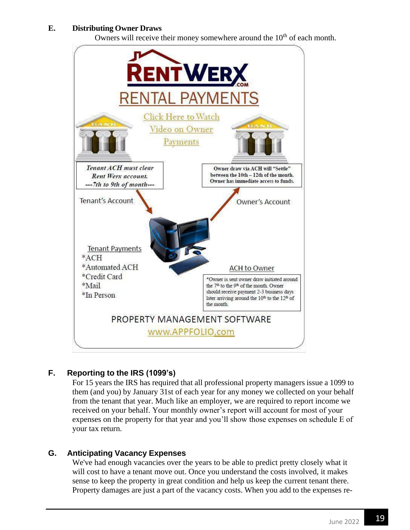#### **E. Distributing Owner Draws**

Owners will receive their money somewhere around the  $10<sup>th</sup>$  of each month.



#### **F. Reporting to the IRS (1099's)**

For 15 years the IRS has required that all professional property managers issue a 1099 to them (and you) by January 31st of each year for any money we collected on your behalf from the tenant that year. Much like an employer, we are required to report income we received on your behalf. Your monthly owner's report will account for most of your expenses on the property for that year and you'll show those expenses on schedule E of your tax return.

#### **G. Anticipating Vacancy Expenses**

We've had enough vacancies over the years to be able to predict pretty closely what it will cost to have a tenant move out. Once you understand the costs involved, it makes sense to keep the property in great condition and help us keep the current tenant there. Property damages are just a part of the vacancy costs. When you add to the expenses re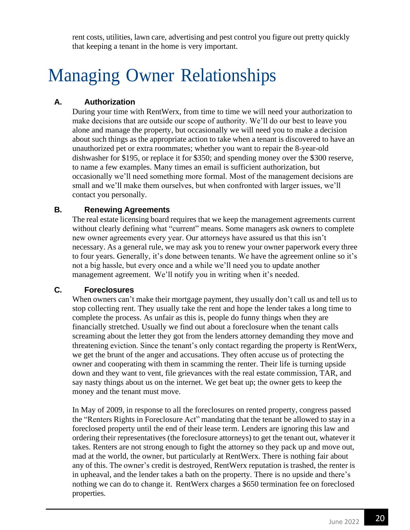rent costs, utilities, lawn care, advertising and pest control you figure out pretty quickly that keeping a tenant in the home is very important.

# Managing Owner Relationships

#### **A. Authorization**

During your time with RentWerx, from time to time we will need your authorization to make decisions that are outside our scope of authority. We'll do our best to leave you alone and manage the property, but occasionally we will need you to make a decision about such things as the appropriate action to take when a tenant is discovered to have an unauthorized pet or extra roommates; whether you want to repair the 8-year-old dishwasher for \$195, or replace it for \$350; and spending money over the \$300 reserve, to name a few examples. Many times an email is sufficient authorization, but occasionally we'll need something more formal. Most of the management decisions are small and we'll make them ourselves, but when confronted with larger issues, we'll contact you personally.

#### **B. Renewing Agreements**

The real estate licensing board requires that we keep the management agreements current without clearly defining what "current" means. Some managers ask owners to complete new owner agreements every year. Our attorneys have assured us that this isn't necessary. As a general rule, we may ask you to renew your owner paperwork every three to four years. Generally, it's done between tenants. We have the agreement online so it's not a big hassle, but every once and a while we'll need you to update another management agreement. We'll notify you in writing when it's needed.

#### **C. Foreclosures**

When owners can't make their mortgage payment, they usually don't call us and tell us to stop collecting rent. They usually take the rent and hope the lender takes a long time to complete the process. As unfair as this is, people do funny things when they are financially stretched. Usually we find out about a foreclosure when the tenant calls screaming about the letter they got from the lenders attorney demanding they move and threatening eviction. Since the tenant's only contact regarding the property is RentWerx*,*  we get the brunt of the anger and accusations. They often accuse us of protecting the owner and cooperating with them in scamming the renter. Their life is turning upside down and they want to vent, file grievances with the real estate commission, TAR, and say nasty things about us on the internet. We get beat up; the owner gets to keep the money and the tenant must move.

In May of 2009, in response to all the foreclosures on rented property, congress passed the "Renters Rights in Foreclosure Act" mandating that the tenant be allowed to stay in a foreclosed property until the end of their lease term. Lenders are ignoring this law and ordering their representatives (the foreclosure attorneys) to get the tenant out, whatever it takes. Renters are not strong enough to fight the attorney so they pack up and move out, mad at the world, the owner, but particularly at RentWerx. There is nothing fair about any of this. The owner's credit is destroyed, RentWerx reputation is trashed, the renter is in upheaval, and the lender takes a bath on the property. There is no upside and there's nothing we can do to change it. RentWerx charges a \$650 termination fee on foreclosed properties.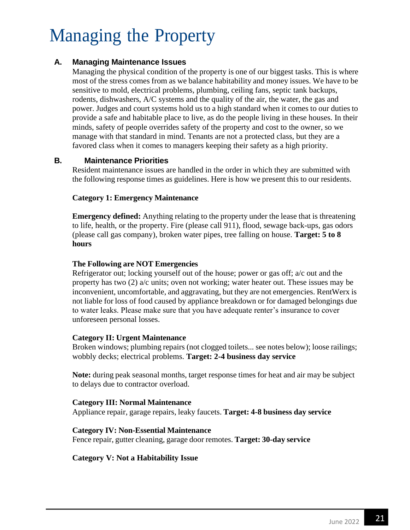# Managing the Property

#### **A. Managing Maintenance Issues**

Managing the physical condition of the property is one of our biggest tasks. This is where most of the stress comes from as we balance habitability and money issues. We have to be sensitive to mold, electrical problems, plumbing, ceiling fans, septic tank backups, rodents, dishwashers, A/C systems and the quality of the air, the water, the gas and power. Judges and court systems hold us to a high standard when it comes to our duties to provide a safe and habitable place to live, as do the people living in these houses. In their minds, safety of people overrides safety of the property and cost to the owner, so we manage with that standard in mind. Tenants are not a protected class, but they are a favored class when it comes to managers keeping their safety as a high priority.

#### **B. Maintenance Priorities**

Resident maintenance issues are handled in the order in which they are submitted with the following response times as guidelines. Here is how we present this to our residents.

#### **Category 1: Emergency Maintenance**

**Emergency defined:** Anything relating to the property under the lease that is threatening to life, health, or the property. Fire (please call 911), flood, sewage back-ups, gas odors (please call gas company), broken water pipes, tree falling on house. **Target: 5 to 8 hours**

#### **The Following are NOT Emergencies**

Refrigerator out; locking yourself out of the house; power or gas off; a/c out and the property has two (2) a/c units; oven not working; water heater out. These issues may be inconvenient, uncomfortable, and aggravating, but they are not emergencies. RentWerx is not liable for loss of food caused by appliance breakdown or for damaged belongings due to water leaks. Please make sure that you have adequate renter's insurance to cover unforeseen personal losses.

#### **Category II: Urgent Maintenance**

Broken windows; plumbing repairs (not clogged toilets... see notes below); loose railings; wobbly decks; electrical problems. **Target: 2-4 business day service**

**Note:** during peak seasonal months, target response times for heat and air may be subject to delays due to contractor overload.

#### **Category III: Normal Maintenance**

Appliance repair, garage repairs, leaky faucets. **Target: 4-8 business day service**

#### **Category IV: Non-Essential Maintenance**

Fence repair, gutter cleaning, garage door remotes. **Target: 30-day service** 

#### **Category V: Not a Habitability Issue**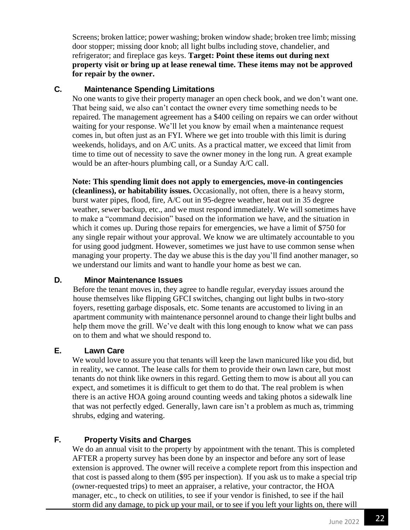Screens; broken lattice; power washing; broken window shade; broken tree limb; missing door stopper; missing door knob; all light bulbs including stove, chandelier, and refrigerator; and fireplace gas keys. **Target: Point these items out during next property visit or bring up at lease renewal time. These items may not be approved for repair by the owner.**

#### **C. Maintenance Spending Limitations**

No one wants to give their property manager an open check book, and we don't want one. That being said, we also can't contact the owner every time something needs to be repaired. The management agreement has a \$400 ceiling on repairs we can order without waiting for your response. We'll let you know by email when a maintenance request comes in, but often just as an FYI. Where we get into trouble with this limit is during weekends, holidays, and on A/C units. As a practical matter, we exceed that limit from time to time out of necessity to save the owner money in the long run. A great example would be an after-hours plumbing call, or a Sunday A/C call.

**Note: This spending limit does not apply to emergencies, move-in contingencies (cleanliness), or habitability issues.** Occasionally, not often, there is a heavy storm, burst water pipes, flood, fire, A/C out in 95-degree weather, heat out in 35 degree weather, sewer backup, etc., and we must respond immediately. We will sometimes have to make a "command decision" based on the information we have, and the situation in which it comes up. During those repairs for emergencies, we have a limit of \$750 for any single repair without your approval. We know we are ultimately accountable to you for using good judgment. However, sometimes we just have to use common sense when managing your property. The day we abuse this is the day you'll find another manager, so we understand our limits and want to handle your home as best we can.

#### **D. Minor Maintenance Issues**

Before the tenant moves in, they agree to handle regular, everyday issues around the house themselves like flipping GFCI switches, changing out light bulbs in two-story foyers, resetting garbage disposals, etc. Some tenants are accustomed to living in an apartment community with maintenance personnel around to change their light bulbs and help them move the grill. We've dealt with this long enough to know what we can pass on to them and what we should respond to.

#### **E. Lawn Care**

We would love to assure you that tenants will keep the lawn manicured like you did, but in reality, we cannot. The lease calls for them to provide their own lawn care, but most tenants do not think like owners in this regard. Getting them to mow is about all you can expect, and sometimes it is difficult to get them to do that. The real problem is when there is an active HOA going around counting weeds and taking photos a sidewalk line that was not perfectly edged. Generally, lawn care isn't a problem as much as, trimming shrubs, edging and watering.

#### **F. Property Visits and Charges**

We do an annual visit to the property by appointment with the tenant. This is completed AFTER a property survey has been done by an inspector and before any sort of lease extension is approved. The owner will receive a complete report from this inspection and that cost is passed along to them (\$95 per inspection). If you ask us to make a special trip (owner-requested trips) to meet an appraiser, a relative, your contractor, the HOA manager, etc., to check on utilities, to see if your vendor is finished, to see if the hail storm did any damage, to pick up your mail, or to see if you left your lights on, there will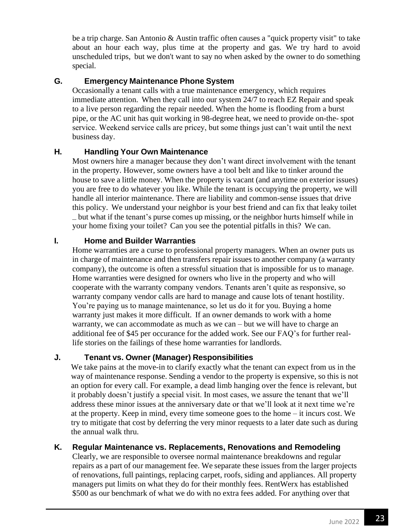be a trip charge. San Antonio & Austin traffic often causes a "quick property visit" to take about an hour each way, plus time at the property and gas. We try hard to avoid unscheduled trips, but we don't want to say no when asked by the owner to do something special.

#### **G. Emergency Maintenance Phone System**

Occasionally a tenant calls with a true maintenance emergency, which requires immediate attention. When they call into our system 24/7 to reach EZ Repair and speak to a live person regarding the repair needed. When the home is flooding from a burst pipe, or the AC unit has quit working in 98-degree heat, we need to provide on-the- spot service. Weekend service calls are pricey, but some things just can't wait until the next business day.

#### **H. Handling Your Own Maintenance**

Most owners hire a manager because they don't want direct involvement with the tenant in the property. However, some owners have a tool belt and like to tinker around the house to save a little money. When the property is vacant (and anytime on exterior issues) you are free to do whatever you like. While the tenant is occupying the property, we will handle all interior maintenance. There are liability and common-sense issues that drive this policy. We understand your neighbor is your best friend and can fix that leaky toilet – but what if the tenant's purse comes up missing, or the neighbor hurts himself while in your home fixing your toilet? Can you see the potential pitfalls in this? We can.

#### **I. Home and Builder Warranties**

Home warranties are a curse to professional property managers. When an owner puts us in charge of maintenance and then transfers repair issues to another company (a warranty company), the outcome is often a stressful situation that is impossible for us to manage. Home warranties were designed for owners who live in the property and who will cooperate with the warranty company vendors. Tenants aren't quite as responsive, so warranty company vendor calls are hard to manage and cause lots of tenant hostility. You're paying us to manage maintenance, so let us do it for you. Buying a home warranty just makes it more difficult. If an owner demands to work with a home warranty, we can accommodate as much as we can – but we will have to charge an additional fee of \$45 per occurance for the added work. See our FAQ's for further reallife stories on the failings of these home warranties for landlords.

#### **J. Tenant vs. Owner (Manager) Responsibilities**

We take pains at the move-in to clarify exactly what the tenant can expect from us in the way of maintenance response. Sending a vendor to the property is expensive, so this is not an option for every call. For example, a dead limb hanging over the fence is relevant, but it probably doesn't justify a special visit. In most cases, we assure the tenant that we'll address these minor issues at the anniversary date or that we'll look at it next time we're at the property. Keep in mind, every time someone goes to the home – it incurs cost. We try to mitigate that cost by deferring the very minor requests to a later date such as during the annual walk thru.

#### **K. Regular Maintenance vs. Replacements, Renovations and Remodeling**

Clearly, we are responsible to oversee normal maintenance breakdowns and regular repairs as a part of our management fee. We separate these issues from the larger projects of renovations, full paintings, replacing carpet, roofs, siding and appliances. All property managers put limits on what they do for their monthly fees. RentWerx has established \$500 as our benchmark of what we do with no extra fees added. For anything over that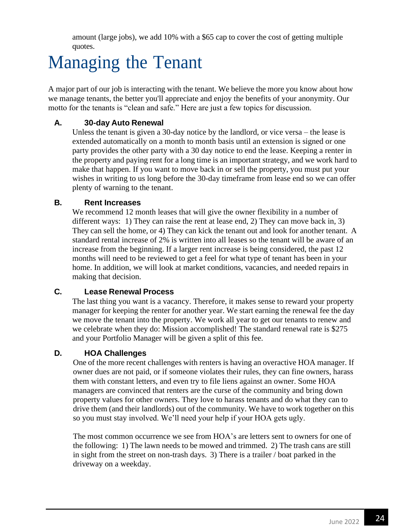amount (large jobs), we add 10% with a \$65 cap to cover the cost of getting multiple quotes.

# Managing the Tenant

A major part of our job is interacting with the tenant. We believe the more you know about how we manage tenants, the better you'll appreciate and enjoy the benefits of your anonymity. Our motto for the tenants is "clean and safe." Here are just a few topics for discussion.

#### **A. 30-day Auto Renewal**

Unless the tenant is given a 30-day notice by the landlord, or vice versa – the lease is extended automatically on a month to month basis until an extension is signed or one party provides the other party with a 30 day notice to end the lease. Keeping a renter in the property and paying rent for a long time is an important strategy, and we work hard to make that happen. If you want to move back in or sell the property, you must put your wishes in writing to us long before the 30-day timeframe from lease end so we can offer plenty of warning to the tenant.

#### **B. Rent Increases**

We recommend 12 month leases that will give the owner flexibility in a number of different ways: 1) They can raise the rent at lease end, 2) They can move back in, 3) They can sell the home, or 4) They can kick the tenant out and look for another tenant. A standard rental increase of 2% is written into all leases so the tenant will be aware of an increase from the beginning. If a larger rent increase is being considered, the past 12 months will need to be reviewed to get a feel for what type of tenant has been in your home. In addition, we will look at market conditions, vacancies, and needed repairs in making that decision.

#### **C. Lease Renewal Process**

The last thing you want is a vacancy. Therefore, it makes sense to reward your property manager for keeping the renter for another year. We start earning the renewal fee the day we move the tenant into the property. We work all year to get our tenants to renew and we celebrate when they do: Mission accomplished! The standard renewal rate is \$275 and your Portfolio Manager will be given a split of this fee.

#### **D. HOA Challenges**

One of the more recent challenges with renters is having an overactive HOA manager. If owner dues are not paid, or if someone violates their rules, they can fine owners, harass them with constant letters, and even try to file liens against an owner. Some HOA managers are convinced that renters are the curse of the community and bring down property values for other owners. They love to harass tenants and do what they can to drive them (and their landlords) out of the community. We have to work together on this so you must stay involved. We'll need your help if your HOA gets ugly.

The most common occurrence we see from HOA's are letters sent to owners for one of the following: 1) The lawn needs to be mowed and trimmed. 2) The trash cans are still in sight from the street on non-trash days. 3) There is a trailer / boat parked in the driveway on a weekday.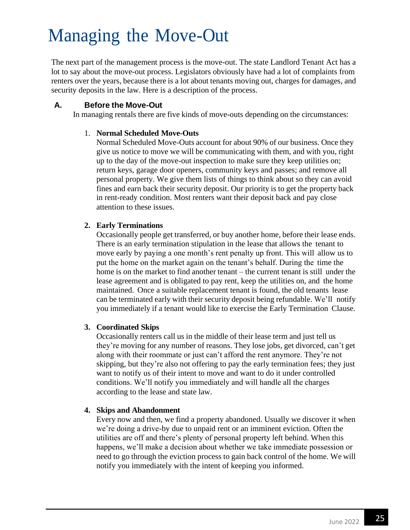### Managing the Move-Out

The next part of the management process is the move-out. The state Landlord Tenant Act has a lot to say about the move-out process. Legislators obviously have had a lot of complaints from renters over the years, because there is a lot about tenants moving out, charges for damages, and security deposits in the law. Here is a description of the process.

#### **A. Before the Move-Out**

In managing rentals there are five kinds of move-outs depending on the circumstances:

#### 1. **Normal Scheduled Move-Outs**

Normal Scheduled Move-Outs account for about 90% of our business. Once they give us notice to move we will be communicating with them, and with you, right up to the day of the move-out inspection to make sure they keep utilities on; return keys, garage door openers, community keys and passes; and remove all personal property. We give them lists of things to think about so they can avoid fines and earn back their security deposit. Our priority is to get the property back in rent-ready condition. Most renters want their deposit back and pay close attention to these issues.

#### **2. Early Terminations**

Occasionally people get transferred, or buy another home, before their lease ends. There is an early termination stipulation in the lease that allows the tenant to move early by paying a one month's rent penalty up front. This will allow us to put the home on the market again on the tenant's behalf. During the time the home is on the market to find another tenant – the current tenant is still under the lease agreement and is obligated to pay rent, keep the utilities on, and the home maintained. Once a suitable replacement tenant is found, the old tenants lease can be terminated early with their security deposit being refundable. We'll notify you immediately if a tenant would like to exercise the Early Termination Clause.

#### **3. Coordinated Skips**

Occasionally renters call us in the middle of their lease term and just tell us they're moving for any number of reasons. They lose jobs, get divorced, can't get along with their roommate or just can't afford the rent anymore. They're not skipping, but they're also not offering to pay the early termination fees; they just want to notify us of their intent to move and want to do it under controlled conditions. We'll notify you immediately and will handle all the charges according to the lease and state law.

#### **4. Skips and Abandonment**

Every now and then, we find a property abandoned. Usually we discover it when we're doing a drive-by due to unpaid rent or an imminent eviction. Often the utilities are off and there's plenty of personal property left behind. When this happens, we'll make a decision about whether we take immediate possession or need to go through the eviction process to gain back control of the home. We will notify you immediately with the intent of keeping you informed.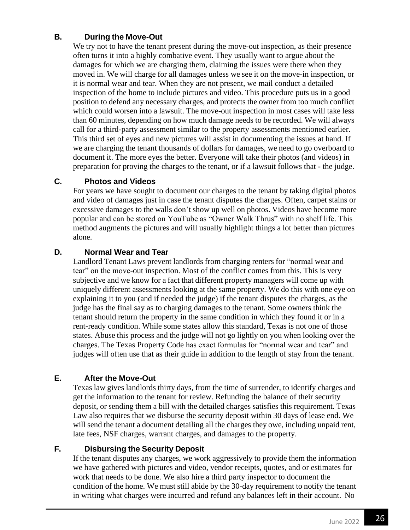#### **B. During the Move-Out**

We try not to have the tenant present during the move-out inspection, as their presence often turns it into a highly combative event. They usually want to argue about the damages for which we are charging them, claiming the issues were there when they moved in. We will charge for all damages unless we see it on the move-in inspection, or it is normal wear and tear. When they are not present, we mail conduct a detailed inspection of the home to include pictures and video. This procedure puts us in a good position to defend any necessary charges, and protects the owner from too much conflict which could worsen into a lawsuit. The move-out inspection in most cases will take less than 60 minutes, depending on how much damage needs to be recorded. We will always call for a third-party assessment similar to the property assessments mentioned earlier. This third set of eyes and new pictures will assist in documenting the issues at hand. If we are charging the tenant thousands of dollars for damages, we need to go overboard to document it. The more eyes the better. Everyone will take their photos (and videos) in preparation for proving the charges to the tenant, or if a lawsuit follows that - the judge.

#### **C. Photos and Videos**

For years we have sought to document our charges to the tenant by taking digital photos and video of damages just in case the tenant disputes the charges. Often, carpet stains or excessive damages to the walls don't show up well on photos. Videos have become more popular and can be stored on YouTube as "Owner Walk Thrus" with no shelf life. This method augments the pictures and will usually highlight things a lot better than pictures alone.

#### **D. Normal Wear and Tear**

Landlord Tenant Laws prevent landlords from charging renters for "normal wear and tear" on the move-out inspection. Most of the conflict comes from this. This is very subjective and we know for a fact that different property managers will come up with uniquely different assessments looking at the same property. We do this with one eye on explaining it to you (and if needed the judge) if the tenant disputes the charges, as the judge has the final say as to charging damages to the tenant. Some owners think the tenant should return the property in the same condition in which they found it or in a rent-ready condition. While some states allow this standard, Texas is not one of those states. Abuse this process and the judge will not go lightly on you when looking over the charges. The Texas Property Code has exact formulas for "normal wear and tear" and judges will often use that as their guide in addition to the length of stay from the tenant.

#### **E. After the Move-Out**

Texas law gives landlords thirty days, from the time of surrender, to identify charges and get the information to the tenant for review. Refunding the balance of their security deposit, or sending them a bill with the detailed charges satisfies this requirement. Texas Law also requires that we disburse the security deposit within 30 days of lease end. We will send the tenant a document detailing all the charges they owe, including unpaid rent, late fees, NSF charges, warrant charges, and damages to the property.

#### **F. Disbursing the Security Deposit**

If the tenant disputes any charges, we work aggressively to provide them the information we have gathered with pictures and video, vendor receipts, quotes, and or estimates for work that needs to be done. We also hire a third party inspector to document the condition of the home. We must still abide by the 30-day requirement to notify the tenant in writing what charges were incurred and refund any balances left in their account. No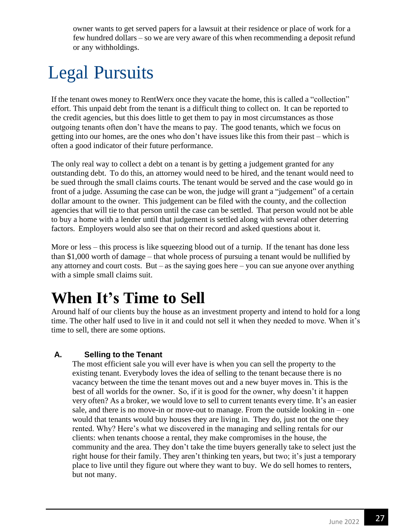owner wants to get served papers for a lawsuit at their residence or place of work for a few hundred dollars – so we are very aware of this when recommending a deposit refund or any withholdings.

# Legal Pursuits

If the tenant owes money to RentWerx once they vacate the home, this is called a "collection" effort. This unpaid debt from the tenant is a difficult thing to collect on. It can be reported to the credit agencies, but this does little to get them to pay in most circumstances as those outgoing tenants often don't have the means to pay. The good tenants, which we focus on getting into our homes, are the ones who don't have issues like this from their past – which is often a good indicator of their future performance.

The only real way to collect a debt on a tenant is by getting a judgement granted for any outstanding debt. To do this, an attorney would need to be hired, and the tenant would need to be sued through the small claims courts. The tenant would be served and the case would go in front of a judge. Assuming the case can be won, the judge will grant a "judgement" of a certain dollar amount to the owner. This judgement can be filed with the county, and the collection agencies that will tie to that person until the case can be settled. That person would not be able to buy a home with a lender until that judgement is settled along with several other deterring factors. Employers would also see that on their record and asked questions about it.

More or less – this process is like squeezing blood out of a turnip. If the tenant has done less than \$1,000 worth of damage – that whole process of pursuing a tenant would be nullified by any attorney and court costs. But – as the saying goes here – you can sue anyone over anything with a simple small claims suit.

### **When It's Time to Sell**

Around half of our clients buy the house as an investment property and intend to hold for a long time. The other half used to live in it and could not sell it when they needed to move. When it's time to sell, there are some options.

#### **A. Selling to the Tenant**

The most efficient sale you will ever have is when you can sell the property to the existing tenant. Everybody loves the idea of selling to the tenant because there is no vacancy between the time the tenant moves out and a new buyer moves in. This is the best of all worlds for the owner. So, if it is good for the owner, why doesn't it happen very often? As a broker, we would love to sell to current tenants every time. It's an easier sale, and there is no move-in or move-out to manage. From the outside looking in – one would that tenants would buy houses they are living in. They do, just not the one they rented. Why? Here's what we discovered in the managing and selling rentals for our clients: when tenants choose a rental, they make compromises in the house, the community and the area. They don't take the time buyers generally take to select just the right house for their family. They aren't thinking ten years, but two; it's just a temporary place to live until they figure out where they want to buy. We do sell homes to renters, but not many.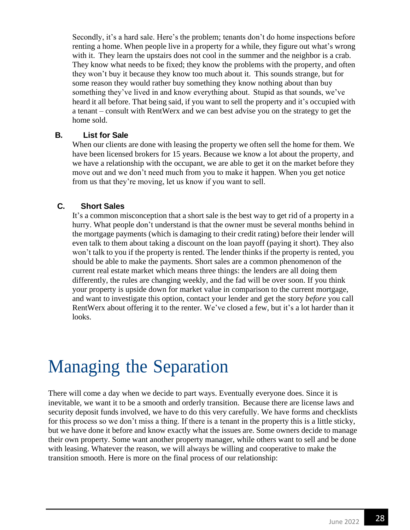Secondly, it's a hard sale. Here's the problem; tenants don't do home inspections before renting a home. When people live in a property for a while, they figure out what's wrong with it. They learn the upstairs does not cool in the summer and the neighbor is a crab. They know what needs to be fixed; they know the problems with the property, and often they won't buy it because they know too much about it. This sounds strange, but for some reason they would rather buy something they know nothing about than buy something they've lived in and know everything about. Stupid as that sounds, we've heard it all before. That being said, if you want to sell the property and it's occupied with a tenant – consult with RentWerx and we can best advise you on the strategy to get the home sold.

#### **B. List for Sale**

When our clients are done with leasing the property we often sell the home for them. We have been licensed brokers for 15 years. Because we know a lot about the property, and we have a relationship with the occupant, we are able to get it on the market before they move out and we don't need much from you to make it happen. When you get notice from us that they're moving, let us know if you want to sell.

#### **C. Short Sales**

It's a common misconception that a short sale is the best way to get rid of a property in a hurry. What people don't understand is that the owner must be several months behind in the mortgage payments (which is damaging to their credit rating) before their lender will even talk to them about taking a discount on the loan payoff (paying it short). They also won't talk to you if the property is rented. The lender thinks if the property is rented, you should be able to make the payments. Short sales are a common phenomenon of the current real estate market which means three things: the lenders are all doing them differently, the rules are changing weekly, and the fad will be over soon. If you think your property is upside down for market value in comparison to the current mortgage, and want to investigate this option, contact your lender and get the story *before* you call RentWerx about offering it to the renter. We've closed a few, but it's a lot harder than it looks.

### Managing the Separation

There will come a day when we decide to part ways. Eventually everyone does. Since it is inevitable, we want it to be a smooth and orderly transition. Because there are license laws and security deposit funds involved, we have to do this very carefully. We have forms and checklists for this process so we don't miss a thing. If there is a tenant in the property this is a little sticky, but we have done it before and know exactly what the issues are. Some owners decide to manage their own property. Some want another property manager, while others want to sell and be done with leasing. Whatever the reason, we will always be willing and cooperative to make the transition smooth. Here is more on the final process of our relationship: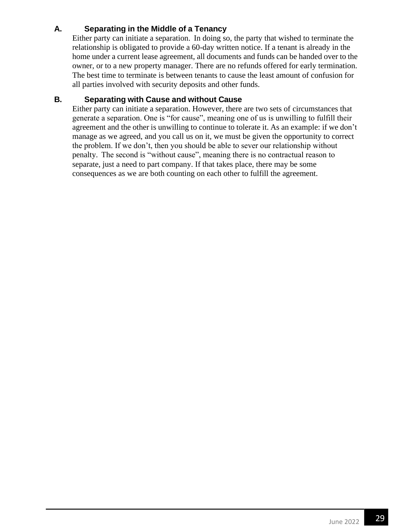#### **A. Separating in the Middle of a Tenancy**

Either party can initiate a separation. In doing so, the party that wished to terminate the relationship is obligated to provide a 60-day written notice. If a tenant is already in the home under a current lease agreement, all documents and funds can be handed over to the owner, or to a new property manager. There are no refunds offered for early termination. The best time to terminate is between tenants to cause the least amount of confusion for all parties involved with security deposits and other funds.

#### **B. Separating with Cause and without Cause**

Either party can initiate a separation. However, there are two sets of circumstances that generate a separation. One is "for cause", meaning one of us is unwilling to fulfill their agreement and the other is unwilling to continue to tolerate it. As an example: if we don't manage as we agreed, and you call us on it, we must be given the opportunity to correct the problem. If we don't, then you should be able to sever our relationship without penalty. The second is "without cause", meaning there is no contractual reason to separate, just a need to part company. If that takes place, there may be some consequences as we are both counting on each other to fulfill the agreement.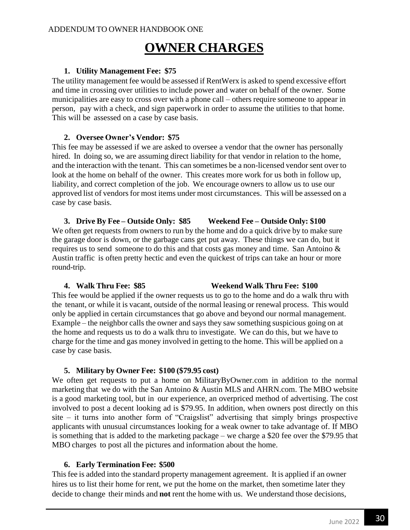### **OWNER CHARGES**

#### **1. Utility Management Fee: \$75**

The utility management fee would be assessed if RentWerx is asked to spend excessive effort and time in crossing over utilities to include power and water on behalf of the owner. Some municipalities are easy to cross over with a phone call – others require someone to appear in person, pay with a check, and sign paperwork in order to assume the utilities to that home. This will be assessed on a case by case basis.

#### **2. Oversee Owner's Vendor: \$75**

This fee may be assessed if we are asked to oversee a vendor that the owner has personally hired. In doing so, we are assuming direct liability for that vendor in relation to the home, and the interaction with the tenant. This can sometimes be a non-licensed vendor sent over to look at the home on behalf of the owner. This creates more work for us both in follow up, liability, and correct completion of the job. We encourage owners to allow us to use our approved list of vendors for most items under most circumstances. This will be assessed on a case by case basis.

**3. Drive By Fee – Outside Only: \$85 Weekend Fee – Outside Only: \$100** We often get requests from owners to run by the home and do a quick drive by to make sure the garage door is down, or the garbage cans get put away. These things we can do, but it requires us to send someone to do this and that costs gas money and time. San Antoino & Austin traffic is often pretty hectic and even the quickest of trips can take an hour or more round-trip.

#### **4. Walk Thru Fee: \$85 Weekend Walk Thru Fee: \$100**

This fee would be applied if the owner requests us to go to the home and do a walk thru with the tenant, or while it is vacant, outside of the normal leasing or renewal process. This would only be applied in certain circumstances that go above and beyond our normal management. Example – the neighbor calls the owner and says they saw something suspicious going on at the home and requests us to do a walk thru to investigate. We can do this, but we have to charge for the time and gas money involved in getting to the home. This will be applied on a case by case basis.

#### **5. Military by Owner Fee: \$100 (\$79.95 cost)**

We often get requests to put a home on MilitaryByOwner.com in addition to the normal marketing that we do with the San Antoino & Austin MLS and AHRN.com. The MBO website is a good marketing tool, but in our experience, an overpriced method of advertising. The cost involved to post a decent looking ad is \$79.95. In addition, when owners post directly on this site – it turns into another form of "Craigslist" advertising that simply brings prospective applicants with unusual circumstances looking for a weak owner to take advantage of. If MBO is something that is added to the marketing package – we charge a \$20 fee over the \$79.95 that MBO charges to post all the pictures and information about the home.

#### **6. Early Termination Fee: \$500**

This fee is added into the standard property management agreement. It is applied if an owner hires us to list their home for rent, we put the home on the market, then sometime later they decide to change their minds and **not** rent the home with us. We understand those decisions,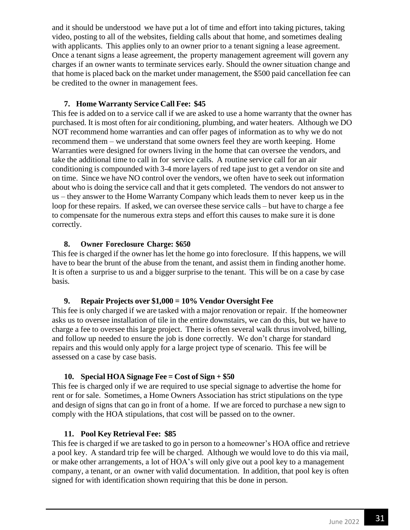and it should be understood we have put a lot of time and effort into taking pictures, taking video, posting to all of the websites, fielding calls about that home, and sometimes dealing with applicants. This applies only to an owner prior to a tenant signing a lease agreement. Once a tenant signs a lease agreement, the property management agreement will govern any charges if an owner wants to terminate services early. Should the owner situation change and that home is placed back on the market under management, the \$500 paid cancellation fee can be credited to the owner in management fees.

#### **7. Home Warranty Service Call Fee: \$45**

This fee is added on to a service call if we are asked to use a home warranty that the owner has purchased. It is most often for air conditioning, plumbing, and water heaters. Although we DO NOT recommend home warranties and can offer pages of information as to why we do not recommend them – we understand that some owners feel they are worth keeping. Home Warranties were designed for owners living in the home that can oversee the vendors, and take the additional time to call in for service calls. A routine service call for an air conditioning is compounded with 3-4 more layers of red tape just to get a vendor on site and on time. Since we have NO control over the vendors, we often have to seek out information about who is doing the service call and that it gets completed. The vendors do not answer to us – they answer to the Home Warranty Company which leads them to never keep us in the loop for these repairs. If asked, we can oversee these service calls – but have to charge a fee to compensate for the numerous extra steps and effort this causes to make sure it is done correctly.

#### **8. Owner Foreclosure Charge: \$650**

This fee is charged if the owner has let the home go into foreclosure. If this happens, we will have to bear the brunt of the abuse from the tenant, and assist them in finding another home. It is often a surprise to us and a bigger surprise to the tenant. This will be on a case by case basis.

#### **9. Repair Projects over \$1,000 = 10% Vendor Oversight Fee**

This fee is only charged if we are tasked with a major renovation or repair. If the homeowner asks us to oversee installation of tile in the entire downstairs, we can do this, but we have to charge a fee to oversee this large project. There is often several walk thrus involved, billing, and follow up needed to ensure the job is done correctly. We don't charge for standard repairs and this would only apply for a large project type of scenario. This fee will be assessed on a case by case basis.

#### **10. Special HOA Signage Fee = Cost of Sign + \$50**

This fee is charged only if we are required to use special signage to advertise the home for rent or for sale. Sometimes, a Home Owners Association has strict stipulations on the type and design of signs that can go in front of a home. If we are forced to purchase a new sign to comply with the HOA stipulations, that cost will be passed on to the owner.

#### **11. Pool Key Retrieval Fee: \$85**

This fee is charged if we are tasked to go in person to a homeowner's HOA office and retrieve a pool key. A standard trip fee will be charged. Although we would love to do this via mail, or make other arrangements, a lot of HOA's will only give out a pool key to a management company, a tenant, or an owner with valid documentation. In addition, that pool key is often signed for with identification shown requiring that this be done in person.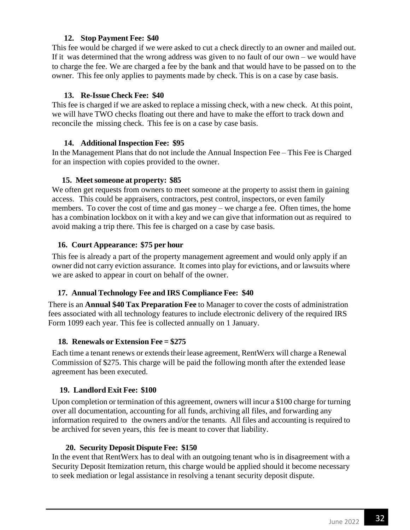#### **12. Stop Payment Fee: \$40**

This fee would be charged if we were asked to cut a check directly to an owner and mailed out. If it was determined that the wrong address was given to no fault of our own – we would have to charge the fee. We are charged a fee by the bank and that would have to be passed on to the owner. This fee only applies to payments made by check. This is on a case by case basis.

#### **13. Re-Issue Check Fee: \$40**

This fee is charged if we are asked to replace a missing check, with a new check. At this point, we will have TWO checks floating out there and have to make the effort to track down and reconcile the missing check. This fee is on a case by case basis.

#### **14. AdditionalInspection Fee: \$95**

In the Management Plans that do not include the Annual Inspection Fee – This Fee is Charged for an inspection with copies provided to the owner.

#### **15. Meetsomeone at property: \$85**

We often get requests from owners to meet someone at the property to assist them in gaining access. This could be appraisers, contractors, pest control, inspectors, or even family members. To cover the cost of time and gas money – we charge a fee. Often times, the home has a combination lockbox on it with a key and we can give that information out as required to avoid making a trip there. This fee is charged on a case by case basis.

#### **16. Court Appearance: \$75 per hour**

This fee is already a part of the property management agreement and would only apply if an owner did not carry eviction assurance. It comes into play for evictions, and or lawsuits where we are asked to appear in court on behalf of the owner.

#### **17. Annual Technology Fee and IRS Compliance Fee: \$40**

There is an **Annual \$40 Tax Preparation Fee** to Manager to cover the costs of administration fees associated with all technology features to include electronic delivery of the required IRS Form 1099 each year. This fee is collected annually on 1 January.

#### **18. Renewals or Extension Fee = \$275**

Each time a tenant renews or extends their lease agreement, RentWerx will charge a Renewal Commission of \$275. This charge will be paid the following month after the extended lease agreement has been executed.

#### **19. Landlord Exit Fee: \$100**

Upon completion or termination of this agreement, owners will incur a \$100 charge for turning over all documentation, accounting for all funds, archiving all files, and forwarding any information required to the owners and/or the tenants. All files and accounting is required to be archived for seven years, this fee is meant to cover that liability.

#### **20. Security Deposit Dispute Fee: \$150**

In the event that RentWerx has to deal with an outgoing tenant who is in disagreement with a Security Deposit Itemization return, this charge would be applied should it become necessary to seek mediation or legal assistance in resolving a tenant security deposit dispute.